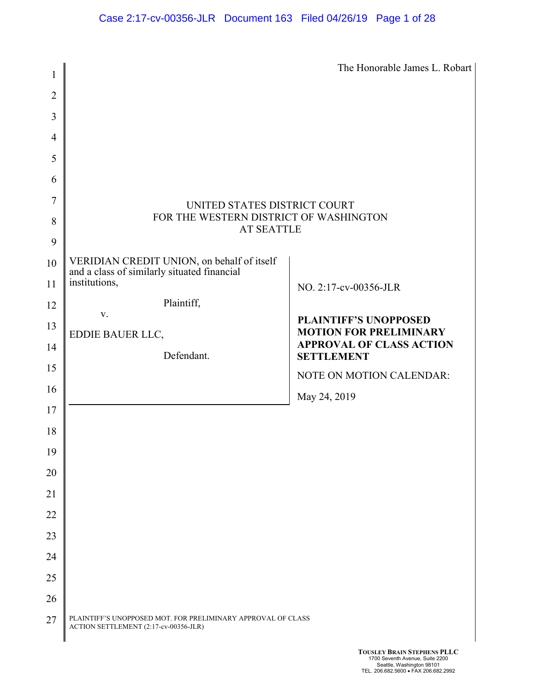| 1              |                                                                                                            | The Honorable James L. Robart                                    |  |  |
|----------------|------------------------------------------------------------------------------------------------------------|------------------------------------------------------------------|--|--|
| $\overline{2}$ |                                                                                                            |                                                                  |  |  |
| 3              |                                                                                                            |                                                                  |  |  |
| $\overline{4}$ |                                                                                                            |                                                                  |  |  |
| 5              |                                                                                                            |                                                                  |  |  |
| 6              |                                                                                                            |                                                                  |  |  |
| 7              |                                                                                                            |                                                                  |  |  |
| 8              | UNITED STATES DISTRICT COURT<br>FOR THE WESTERN DISTRICT OF WASHINGTON                                     |                                                                  |  |  |
| 9              | <b>AT SEATTLE</b>                                                                                          |                                                                  |  |  |
| 10             |                                                                                                            |                                                                  |  |  |
| 11             | VERIDIAN CREDIT UNION, on behalf of itself<br>and a class of similarly situated financial<br>institutions, |                                                                  |  |  |
| 12             | Plaintiff,                                                                                                 | NO. 2:17-cv-00356-JLR                                            |  |  |
|                | V.                                                                                                         | <b>PLAINTIFF'S UNOPPOSED</b>                                     |  |  |
| 13             | EDDIE BAUER LLC,                                                                                           | <b>MOTION FOR PRELIMINARY</b><br><b>APPROVAL OF CLASS ACTION</b> |  |  |
| 14             | Defendant.                                                                                                 | <b>SETTLEMENT</b>                                                |  |  |
| 15             |                                                                                                            | NOTE ON MOTION CALENDAR:                                         |  |  |
| 16             |                                                                                                            | May 24, 2019                                                     |  |  |
| 17             |                                                                                                            |                                                                  |  |  |
| 18             |                                                                                                            |                                                                  |  |  |
| 19             |                                                                                                            |                                                                  |  |  |
| 20             |                                                                                                            |                                                                  |  |  |
| 21             |                                                                                                            |                                                                  |  |  |
| 22             |                                                                                                            |                                                                  |  |  |
| 23             |                                                                                                            |                                                                  |  |  |
| 24             |                                                                                                            |                                                                  |  |  |
| 25             |                                                                                                            |                                                                  |  |  |
| 26             |                                                                                                            |                                                                  |  |  |
| 27             | PLAINTIFF'S UNOPPOSED MOT. FOR PRELIMINARY APPROVAL OF CLASS<br>ACTION SETTLEMENT (2:17-cv-00356-JLR)      |                                                                  |  |  |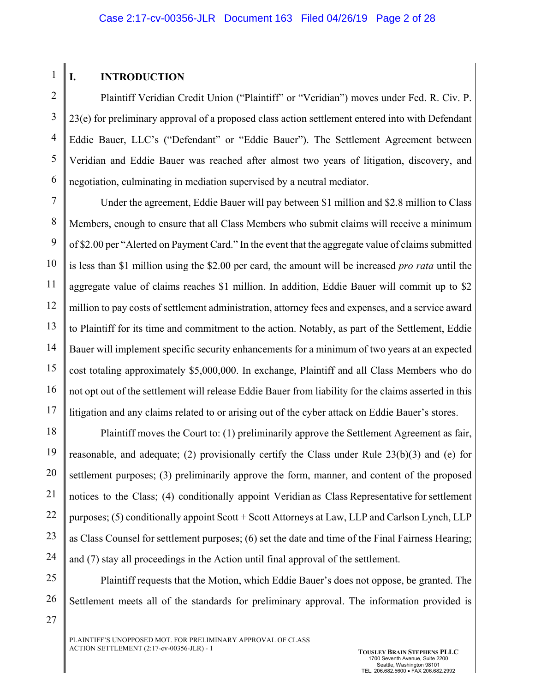# **I. INTRODUCTION**

1

2 3 4 5 6 Plaintiff Veridian Credit Union ("Plaintiff" or "Veridian") moves under Fed. R. Civ. P. 23(e) for preliminary approval of a proposed class action settlement entered into with Defendant Eddie Bauer, LLC's ("Defendant" or "Eddie Bauer"). The Settlement Agreement between Veridian and Eddie Bauer was reached after almost two years of litigation, discovery, and negotiation, culminating in mediation supervised by a neutral mediator.

7 8 9 10 11 12 13 14 15 16 17 Under the agreement, Eddie Bauer will pay between \$1 million and \$2.8 million to Class Members, enough to ensure that all Class Members who submit claims will receive a minimum of \$2.00 per "Alerted on Payment Card." In the event that the aggregate value of claims submitted is less than \$1 million using the \$2.00 per card, the amount will be increased *pro rata* until the aggregate value of claims reaches \$1 million. In addition, Eddie Bauer will commit up to \$2 million to pay costs of settlement administration, attorney fees and expenses, and a service award to Plaintiff for its time and commitment to the action. Notably, as part of the Settlement, Eddie Bauer will implement specific security enhancements for a minimum of two years at an expected cost totaling approximately \$5,000,000. In exchange, Plaintiff and all Class Members who do not opt out of the settlement will release Eddie Bauer from liability for the claims asserted in this litigation and any claims related to or arising out of the cyber attack on Eddie Bauer's stores.

18 19 20 21 22 23 24 Plaintiff moves the Court to: (1) preliminarily approve the Settlement Agreement as fair, reasonable, and adequate; (2) provisionally certify the Class under Rule 23(b)(3) and (e) for settlement purposes; (3) preliminarily approve the form, manner, and content of the proposed notices to the Class; (4) conditionally appoint Veridian as Class Representative for settlement purposes; (5) conditionally appoint Scott + Scott Attorneys at Law, LLP and Carlson Lynch, LLP as Class Counsel for settlement purposes; (6) set the date and time of the Final Fairness Hearing; and (7) stay all proceedings in the Action until final approval of the settlement.

25 26 27 Plaintiff requests that the Motion, which Eddie Bauer's does not oppose, be granted. The Settlement meets all of the standards for preliminary approval. The information provided is

PLAINTIFF'S UNOPPOSED MOT. FOR PRELIMINARY APPROVAL OF CLASS ACTION SETTLEMENT (2:17-cv-00356-JLR) - 1 **TOUSLEY BRAIN STEPHENS PLLC**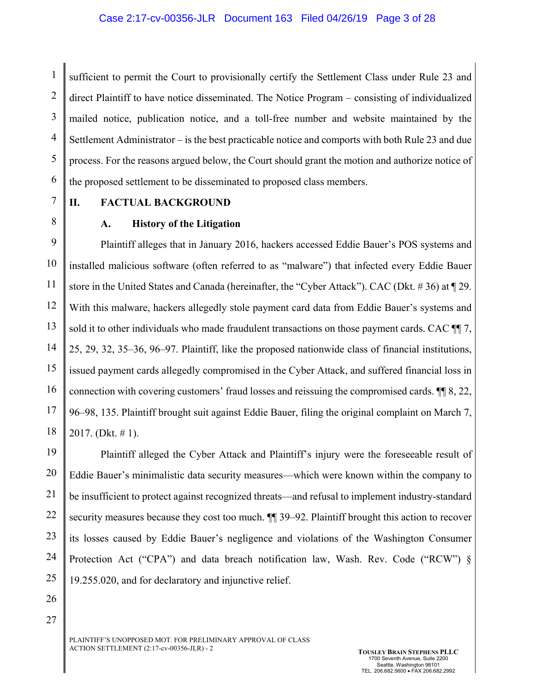1 2 3 4 5 6 sufficient to permit the Court to provisionally certify the Settlement Class under Rule 23 and direct Plaintiff to have notice disseminated. The Notice Program – consisting of individualized mailed notice, publication notice, and a toll-free number and website maintained by the Settlement Administrator – is the best practicable notice and comports with both Rule 23 and due process. For the reasons argued below, the Court should grant the motion and authorize notice of the proposed settlement to be disseminated to proposed class members.

7 8

# **II. FACTUAL BACKGROUND**

## **A. History of the Litigation**

9 10 11 12 13 14 15 16 17 18 Plaintiff alleges that in January 2016, hackers accessed Eddie Bauer's POS systems and installed malicious software (often referred to as "malware") that infected every Eddie Bauer store in the United States and Canada (hereinafter, the "Cyber Attack"). CAC (Dkt. # 36) at ¶ 29. With this malware, hackers allegedly stole payment card data from Eddie Bauer's systems and sold it to other individuals who made fraudulent transactions on those payment cards. CAC  $\P$ [7, 25, 29, 32, 35–36, 96–97. Plaintiff, like the proposed nationwide class of financial institutions, issued payment cards allegedly compromised in the Cyber Attack, and suffered financial loss in connection with covering customers' fraud losses and reissuing the compromised cards. ¶¶ 8, 22, 96–98, 135. Plaintiff brought suit against Eddie Bauer, filing the original complaint on March 7, 2017. (Dkt. # 1).

19 20 21 22 23 24 25 Plaintiff alleged the Cyber Attack and Plaintiff's injury were the foreseeable result of Eddie Bauer's minimalistic data security measures—which were known within the company to be insufficient to protect against recognized threats—and refusal to implement industry-standard security measures because they cost too much.  $\P$  39–92. Plaintiff brought this action to recover its losses caused by Eddie Bauer's negligence and violations of the Washington Consumer Protection Act ("CPA") and data breach notification law, Wash. Rev. Code ("RCW") § 19.255.020, and for declaratory and injunctive relief.

26

27

PLAINTIFF'S UNOPPOSED MOT. FOR PRELIMINARY APPROVAL OF CLASS ACTION SETTLEMENT (2:17-cv-00356-JLR) - 2 **TOUSLEY BRAIN STEPHENS PLLC**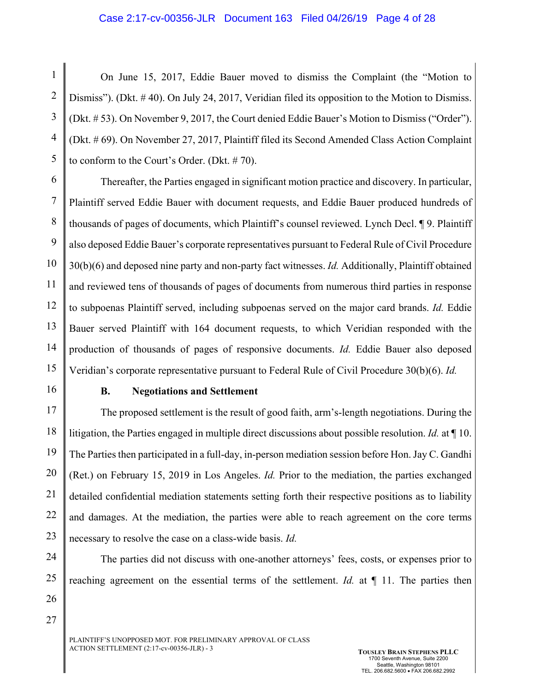#### Case 2:17-cv-00356-JLR Document 163 Filed 04/26/19 Page 4 of 28

1 2 3 4 5 On June 15, 2017, Eddie Bauer moved to dismiss the Complaint (the "Motion to Dismiss"). (Dkt. #40). On July 24, 2017, Veridian filed its opposition to the Motion to Dismiss. (Dkt. # 53). On November 9, 2017, the Court denied Eddie Bauer's Motion to Dismiss ("Order"). (Dkt. # 69). On November 27, 2017, Plaintiff filed its Second Amended Class Action Complaint to conform to the Court's Order. (Dkt. # 70).

6 7 8 9 10 11 12 13 14 15 Thereafter, the Parties engaged in significant motion practice and discovery. In particular, Plaintiff served Eddie Bauer with document requests, and Eddie Bauer produced hundreds of thousands of pages of documents, which Plaintiff's counsel reviewed. Lynch Decl. ¶ 9. Plaintiff also deposed Eddie Bauer's corporate representatives pursuant to Federal Rule of Civil Procedure 30(b)(6) and deposed nine party and non-party fact witnesses. *Id.* Additionally, Plaintiff obtained and reviewed tens of thousands of pages of documents from numerous third parties in response to subpoenas Plaintiff served, including subpoenas served on the major card brands. *Id.* Eddie Bauer served Plaintiff with 164 document requests, to which Veridian responded with the production of thousands of pages of responsive documents. *Id.* Eddie Bauer also deposed Veridian's corporate representative pursuant to Federal Rule of Civil Procedure 30(b)(6). *Id.*

16

#### **B. Negotiations and Settlement**

17 18 19 20 21 22 23 The proposed settlement is the result of good faith, arm's-length negotiations. During the litigation, the Parties engaged in multiple direct discussions about possible resolution. *Id.* at ¶ 10. The Parties then participated in a full-day, in-person mediation session before Hon. Jay C. Gandhi (Ret.) on February 15, 2019 in Los Angeles. *Id.* Prior to the mediation, the parties exchanged detailed confidential mediation statements setting forth their respective positions as to liability and damages. At the mediation, the parties were able to reach agreement on the core terms necessary to resolve the case on a class-wide basis. *Id.*

24 25 26

The parties did not discuss with one-another attorneys' fees, costs, or expenses prior to reaching agreement on the essential terms of the settlement. *Id.* at ¶ 11. The parties then

27

PLAINTIFF'S UNOPPOSED MOT. FOR PRELIMINARY APPROVAL OF CLASS ACTION SETTLEMENT (2:17-cv-00356-JLR) - 3 **TOUSLEY BRAIN STEPHENS PLLC**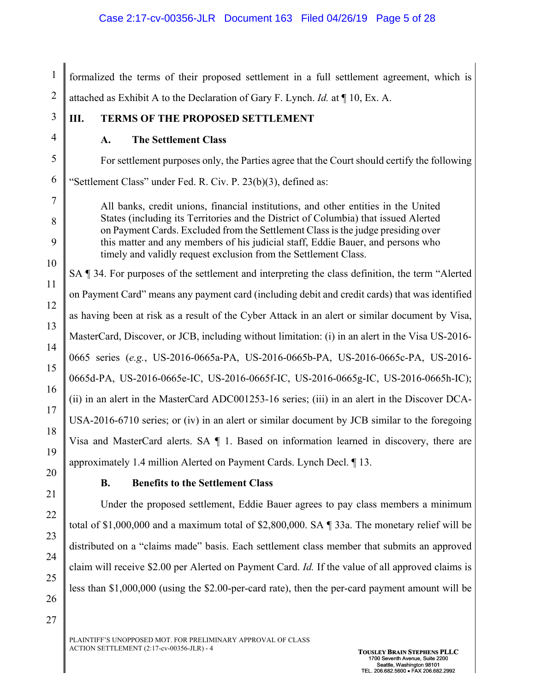1 2 formalized the terms of their proposed settlement in a full settlement agreement, which is attached as Exhibit A to the Declaration of Gary F. Lynch. *Id.* at ¶ 10, Ex. A.

# **III. TERMS OF THE PROPOSED SETTLEMENT**

**A. The Settlement Class**

For settlement purposes only, the Parties agree that the Court should certify the following "Settlement Class" under Fed. R. Civ. P. 23(b)(3), defined as:

All banks, credit unions, financial institutions, and other entities in the United States (including its Territories and the District of Columbia) that issued Alerted on Payment Cards. Excluded from the Settlement Class is the judge presiding over this matter and any members of his judicial staff, Eddie Bauer, and persons who timely and validly request exclusion from the Settlement Class.

11 12 13 14 15 16 17 18 19 SA ¶ 34. For purposes of the settlement and interpreting the class definition, the term "Alerted on Payment Card" means any payment card (including debit and credit cards) that was identified as having been at risk as a result of the Cyber Attack in an alert or similar document by Visa, MasterCard, Discover, or JCB, including without limitation: (i) in an alert in the Visa US-2016- 0665 series (*e.g.*, US-2016-0665a-PA, US-2016-0665b-PA, US-2016-0665c-PA, US-2016- 0665d-PA, US-2016-0665e-IC, US-2016-0665f-IC, US-2016-0665g-IC, US-2016-0665h-IC); (ii) in an alert in the MasterCard ADC001253-16 series; (iii) in an alert in the Discover DCA-USA-2016-6710 series; or (iv) in an alert or similar document by JCB similar to the foregoing Visa and MasterCard alerts. SA ¶ 1. Based on information learned in discovery, there are approximately 1.4 million Alerted on Payment Cards. Lynch Decl. ¶ 13.

20

21

22

23

24

25

26

27

3

4

5

6

7

8

9

10

# **B. Benefits to the Settlement Class**

Under the proposed settlement, Eddie Bauer agrees to pay class members a minimum total of \$1,000,000 and a maximum total of \$2,800,000. SA ¶ 33a. The monetary relief will be distributed on a "claims made" basis. Each settlement class member that submits an approved claim will receive \$2.00 per Alerted on Payment Card. *Id.* If the value of all approved claims is less than \$1,000,000 (using the \$2.00-per-card rate), then the per-card payment amount will be

PLAINTIFF'S UNOPPOSED MOT. FOR PRELIMINARY APPROVAL OF CLASS ACTION SETTLEMENT (2:17-cv-00356-JLR) - 4 **TOUSLEY BRAIN STEPHENS PLLC**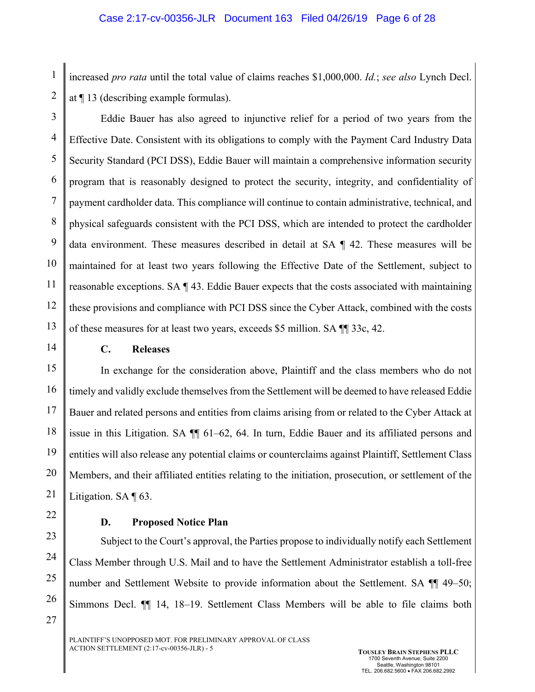increased *pro rata* until the total value of claims reaches \$1,000,000. *Id.*; *see also* Lynch Decl. at ¶ 13 (describing example formulas).

2

1

3 4 5 6 7 8 9 10 11 12 13 Eddie Bauer has also agreed to injunctive relief for a period of two years from the Effective Date. Consistent with its obligations to comply with the Payment Card Industry Data Security Standard (PCI DSS), Eddie Bauer will maintain a comprehensive information security program that is reasonably designed to protect the security, integrity, and confidentiality of payment cardholder data. This compliance will continue to contain administrative, technical, and physical safeguards consistent with the PCI DSS, which are intended to protect the cardholder data environment. These measures described in detail at SA ¶ 42. These measures will be maintained for at least two years following the Effective Date of the Settlement, subject to reasonable exceptions. SA ¶ 43. Eddie Bauer expects that the costs associated with maintaining these provisions and compliance with PCI DSS since the Cyber Attack, combined with the costs of these measures for at least two years, exceeds \$5 million. SA ¶¶ 33c, 42.

14

## **C. Releases**

15 16 17 18 19 20 21 In exchange for the consideration above, Plaintiff and the class members who do not timely and validly exclude themselves from the Settlement will be deemed to have released Eddie Bauer and related persons and entities from claims arising from or related to the Cyber Attack at issue in this Litigation. SA ¶¶ 61–62, 64. In turn, Eddie Bauer and its affiliated persons and entities will also release any potential claims or counterclaims against Plaintiff, Settlement Class Members, and their affiliated entities relating to the initiation, prosecution, or settlement of the Litigation. SA ¶ 63.

22

25

26

27

#### **D. Proposed Notice Plan**

23 24 Subject to the Court's approval, the Parties propose to individually notify each Settlement Class Member through U.S. Mail and to have the Settlement Administrator establish a toll-free number and Settlement Website to provide information about the Settlement. SA ¶¶ 49–50; Simmons Decl. ¶¶ 14, 18–19. Settlement Class Members will be able to file claims both

PLAINTIFF'S UNOPPOSED MOT. FOR PRELIMINARY APPROVAL OF CLASS ACTION SETTLEMENT (2:17-cv-00356-JLR) - 5 **TOUSLEY BRAIN STEPHENS PLLC**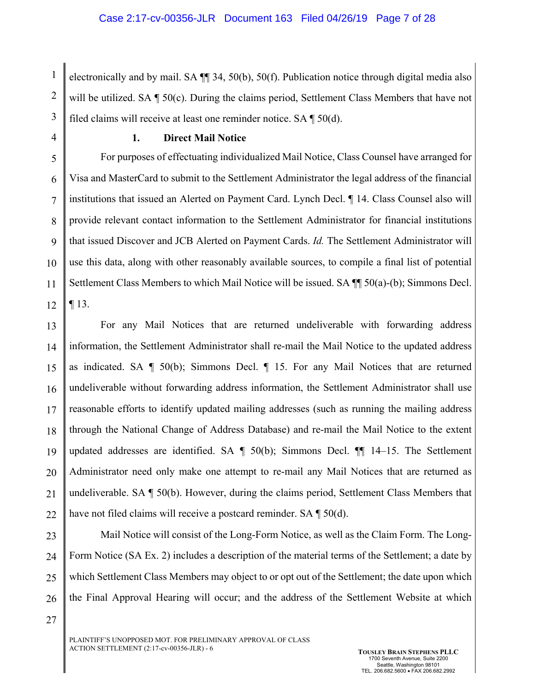1 2 3 electronically and by mail. SA ¶¶ 34, 50(b), 50(f). Publication notice through digital media also will be utilized. SA  $\P$  50(c). During the claims period, Settlement Class Members that have not filed claims will receive at least one reminder notice. SA ¶ 50(d).

4

#### **1. Direct Mail Notice**

5 6 7 8 9 10 11 12 For purposes of effectuating individualized Mail Notice, Class Counsel have arranged for Visa and MasterCard to submit to the Settlement Administrator the legal address of the financial institutions that issued an Alerted on Payment Card. Lynch Decl. ¶ 14. Class Counsel also will provide relevant contact information to the Settlement Administrator for financial institutions that issued Discover and JCB Alerted on Payment Cards. *Id.* The Settlement Administrator will use this data, along with other reasonably available sources, to compile a final list of potential Settlement Class Members to which Mail Notice will be issued. SA ¶¶ 50(a)-(b); Simmons Decl. ¶ 13.

13 14 15 16 17 18 19 20 21 22 For any Mail Notices that are returned undeliverable with forwarding address information, the Settlement Administrator shall re-mail the Mail Notice to the updated address as indicated. SA  $\P$  50(b); Simmons Decl.  $\P$  15. For any Mail Notices that are returned undeliverable without forwarding address information, the Settlement Administrator shall use reasonable efforts to identify updated mailing addresses (such as running the mailing address through the National Change of Address Database) and re-mail the Mail Notice to the extent updated addresses are identified. SA  $\parallel$  50(b); Simmons Decl.  $\parallel$  14–15. The Settlement Administrator need only make one attempt to re-mail any Mail Notices that are returned as undeliverable. SA ¶ 50(b). However, during the claims period, Settlement Class Members that have not filed claims will receive a postcard reminder. SA ¶ 50(d).

23 24 25 26 Mail Notice will consist of the Long-Form Notice, as well as the Claim Form. The Long-Form Notice (SA Ex. 2) includes a description of the material terms of the Settlement; a date by which Settlement Class Members may object to or opt out of the Settlement; the date upon which the Final Approval Hearing will occur; and the address of the Settlement Website at which

27

PLAINTIFF'S UNOPPOSED MOT. FOR PRELIMINARY APPROVAL OF CLASS ACTION SETTLEMENT (2:17-cv-00356-JLR) - 6 **TOUSLEY BRAIN STEPHENS PLLC**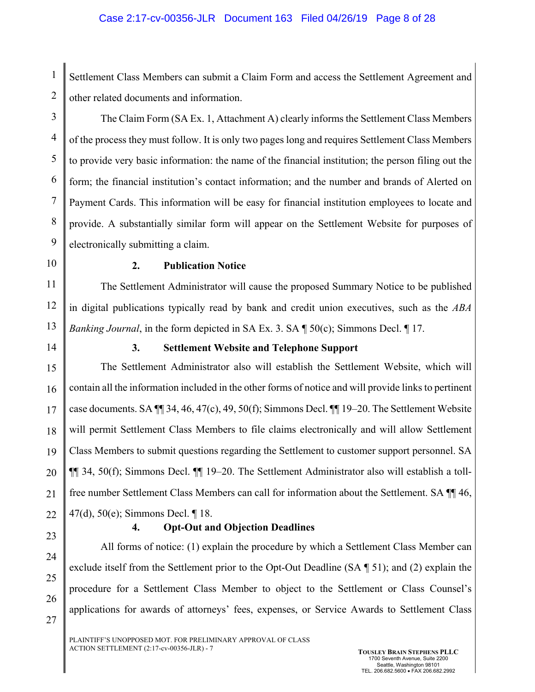#### Case 2:17-cv-00356-JLR Document 163 Filed 04/26/19 Page 8 of 28

Settlement Class Members can submit a Claim Form and access the Settlement Agreement and other related documents and information.

3 4 The Claim Form (SA Ex. 1, Attachment A) clearly informs the Settlement Class Members of the process they must follow. It is only two pages long and requires Settlement Class Members to provide very basic information: the name of the financial institution; the person filing out the form; the financial institution's contact information; and the number and brands of Alerted on Payment Cards. This information will be easy for financial institution employees to locate and provide. A substantially similar form will appear on the Settlement Website for purposes of electronically submitting a claim.

10

9

1

2

5

6

7

8

## **2. Publication Notice**

11 12 13 The Settlement Administrator will cause the proposed Summary Notice to be published in digital publications typically read by bank and credit union executives, such as the *ABA Banking Journal*, in the form depicted in SA Ex. 3. SA ¶ 50(c); Simmons Decl. ¶ 17.

14

# **3. Settlement Website and Telephone Support**

15 16 17 18 19 20 21 22 The Settlement Administrator also will establish the Settlement Website, which will contain all the information included in the other forms of notice and will provide links to pertinent case documents. SA ¶¶ 34, 46, 47(c), 49, 50(f); Simmons Decl. ¶¶ 19–20. The Settlement Website will permit Settlement Class Members to file claims electronically and will allow Settlement Class Members to submit questions regarding the Settlement to customer support personnel. SA ¶¶ 34, 50(f); Simmons Decl. ¶¶ 19–20. The Settlement Administrator also will establish a tollfree number Settlement Class Members can call for information about the Settlement. SA ¶¶ 46, 47(d), 50(e); Simmons Decl. ¶ 18.

23

24

25

26

27

## **4. Opt-Out and Objection Deadlines**

All forms of notice: (1) explain the procedure by which a Settlement Class Member can exclude itself from the Settlement prior to the Opt-Out Deadline (SA ¶ 51); and (2) explain the procedure for a Settlement Class Member to object to the Settlement or Class Counsel's applications for awards of attorneys' fees, expenses, or Service Awards to Settlement Class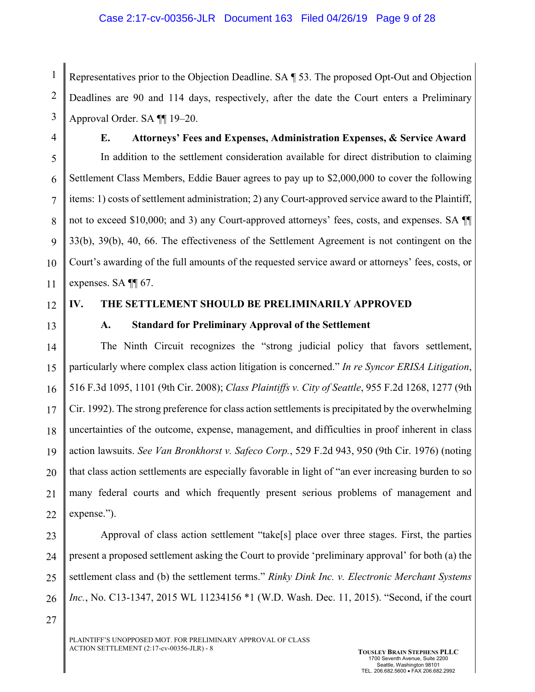1 2 3 Representatives prior to the Objection Deadline. SA ¶ 53. The proposed Opt-Out and Objection Deadlines are 90 and 114 days, respectively, after the date the Court enters a Preliminary Approval Order. SA ¶¶ 19–20.

4

# **E. Attorneys' Fees and Expenses, Administration Expenses, & Service Award**

5 6 7 8 9 10 11 In addition to the settlement consideration available for direct distribution to claiming Settlement Class Members, Eddie Bauer agrees to pay up to \$2,000,000 to cover the following items: 1) costs of settlement administration; 2) any Court-approved service award to the Plaintiff, not to exceed \$10,000; and 3) any Court-approved attorneys' fees, costs, and expenses. SA ¶¶ 33(b), 39(b), 40, 66. The effectiveness of the Settlement Agreement is not contingent on the Court's awarding of the full amounts of the requested service award or attorneys' fees, costs, or expenses. SA ¶¶ 67.

12

## **IV. THE SETTLEMENT SHOULD BE PRELIMINARILY APPROVED**

13

## **A. Standard for Preliminary Approval of the Settlement**

14 15 16 17 18 19 20 21 22 The Ninth Circuit recognizes the "strong judicial policy that favors settlement, particularly where complex class action litigation is concerned." *In re Syncor ERISA Litigation*, 516 F.3d 1095, 1101 (9th Cir. 2008); *Class Plaintiffs v. City of Seattle*, 955 F.2d 1268, 1277 (9th Cir. 1992). The strong preference for class action settlements is precipitated by the overwhelming uncertainties of the outcome, expense, management, and difficulties in proof inherent in class action lawsuits. *See Van Bronkhorst v. Safeco Corp.*, 529 F.2d 943, 950 (9th Cir. 1976) (noting that class action settlements are especially favorable in light of "an ever increasing burden to so many federal courts and which frequently present serious problems of management and expense.").

23 24 25 26 Approval of class action settlement "take[s] place over three stages. First, the parties present a proposed settlement asking the Court to provide 'preliminary approval' for both (a) the settlement class and (b) the settlement terms." *Rinky Dink Inc. v. Electronic Merchant Systems Inc.*, No. C13-1347, 2015 WL 11234156 \*1 (W.D. Wash. Dec. 11, 2015). "Second, if the court

27

PLAINTIFF'S UNOPPOSED MOT. FOR PRELIMINARY APPROVAL OF CLASS ACTION SETTLEMENT (2:17-cv-00356-JLR) - 8 **TOUSLEY BRAIN STEPHENS PLLC**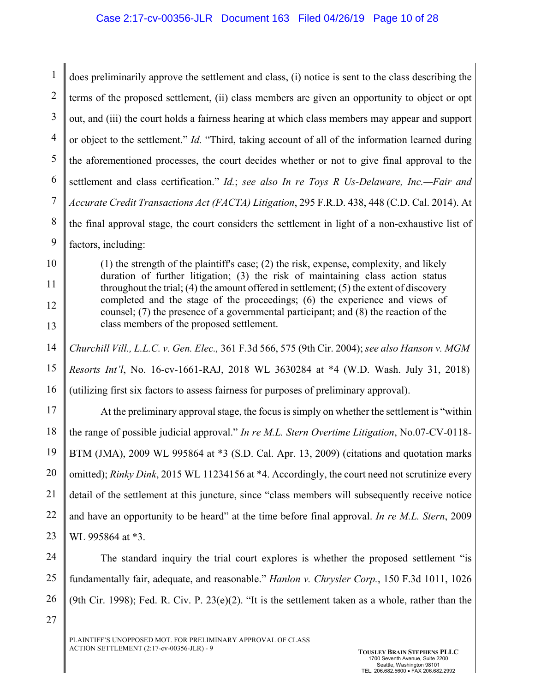1 2 3 4 5 6 7 8 9 10 11 12 13 14 15 16 17 18 19 20 21 22 23 24 25 26 does preliminarily approve the settlement and class, (i) notice is sent to the class describing the terms of the proposed settlement, (ii) class members are given an opportunity to object or opt out, and (iii) the court holds a fairness hearing at which class members may appear and support or object to the settlement." *Id.* "Third, taking account of all of the information learned during the aforementioned processes, the court decides whether or not to give final approval to the settlement and class certification." *Id.*; *see also In re Toys R Us-Delaware, Inc.—Fair and Accurate Credit Transactions Act (FACTA) Litigation*, 295 F.R.D. 438, 448 (C.D. Cal. 2014). At the final approval stage, the court considers the settlement in light of a non-exhaustive list of factors, including: (1) the strength of the plaintiff's case; (2) the risk, expense, complexity, and likely duration of further litigation; (3) the risk of maintaining class action status throughout the trial; (4) the amount offered in settlement; (5) the extent of discovery completed and the stage of the proceedings; (6) the experience and views of counsel; (7) the presence of a governmental participant; and (8) the reaction of the class members of the proposed settlement. *Churchill Vill., L.L.C. v. Gen. Elec.,* 361 F.3d 566, 575 (9th Cir. 2004); *see also Hanson v. MGM Resorts Int'l*, No. 16-cv-1661-RAJ, 2018 WL 3630284 at \*4 (W.D. Wash. July 31, 2018) (utilizing first six factors to assess fairness for purposes of preliminary approval). At the preliminary approval stage, the focus is simply on whether the settlement is "within the range of possible judicial approval." *In re M.L. Stern Overtime Litigation*, No.07-CV-0118- BTM (JMA), 2009 WL 995864 at \*3 (S.D. Cal. Apr. 13, 2009) (citations and quotation marks omitted); *Rinky Dink*, 2015 WL 11234156 at \*4. Accordingly, the court need not scrutinize every detail of the settlement at this juncture, since "class members will subsequently receive notice and have an opportunity to be heard" at the time before final approval. *In re M.L. Stern*, 2009 WL 995864 at \*3. The standard inquiry the trial court explores is whether the proposed settlement "is fundamentally fair, adequate, and reasonable." *Hanlon v. Chrysler Corp.*, 150 F.3d 1011, 1026 (9th Cir. 1998); Fed. R. Civ. P. 23(e)(2). "It is the settlement taken as a whole, rather than the

27

PLAINTIFF'S UNOPPOSED MOT. FOR PRELIMINARY APPROVAL OF CLASS ACTION SETTLEMENT (2:17-cv-00356-JLR) - 9 **TOUSLEY BRAIN STEPHENS PLLC**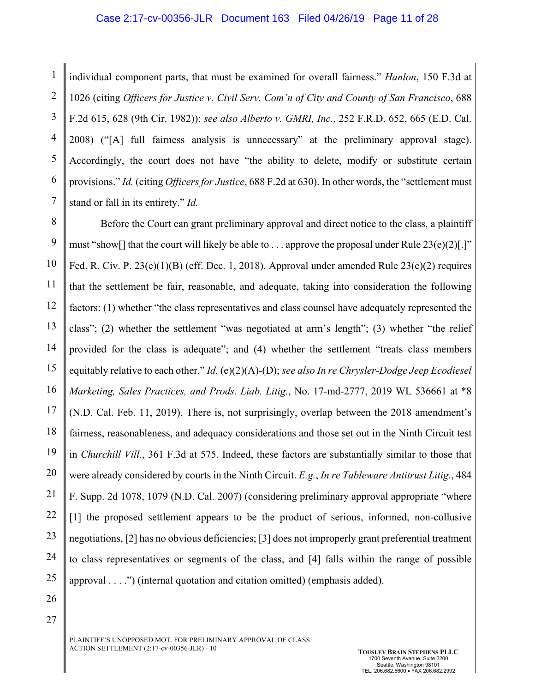#### Case 2:17-cv-00356-JLR Document 163 Filed 04/26/19 Page 11 of 28

1 2 3 4 5 6 7 individual component parts, that must be examined for overall fairness." *Hanlon*, 150 F.3d at 1026 (citing *Officers for Justice v. Civil Serv. Com'n of City and County of San Francisco*, 688 F.2d 615, 628 (9th Cir. 1982)); *see also Alberto v. GMRI, Inc.*, 252 F.R.D. 652, 665 (E.D. Cal. 2008) ("[A] full fairness analysis is unnecessary" at the preliminary approval stage). Accordingly, the court does not have "the ability to delete, modify or substitute certain provisions." *Id.* (citing *Officers for Justice*, 688 F.2d at 630). In other words, the "settlement must stand or fall in its entirety." *Id.* 

8 9 10 11 12 13 14 15 16 17 18 19 20 21 22 23 24 25 Before the Court can grant preliminary approval and direct notice to the class, a plaintiff must "show[] that the court will likely be able to . . . approve the proposal under Rule 23(e)(2)[.]" Fed. R. Civ. P. 23(e)(1)(B) (eff. Dec. 1, 2018). Approval under amended Rule 23(e)(2) requires that the settlement be fair, reasonable, and adequate, taking into consideration the following factors: (1) whether "the class representatives and class counsel have adequately represented the class"; (2) whether the settlement "was negotiated at arm's length"; (3) whether "the relief provided for the class is adequate"; and (4) whether the settlement "treats class members equitably relative to each other." *Id.* (e)(2)(A)-(D); *see also In re Chrysler-Dodge Jeep Ecodiesel Marketing, Sales Practices, and Prods. Liab. Litig.*, No. 17-md-2777, 2019 WL 536661 at \*8 (N.D. Cal. Feb. 11, 2019). There is, not surprisingly, overlap between the 2018 amendment's fairness, reasonableness, and adequacy considerations and those set out in the Ninth Circuit test in *Churchill Vill.*, 361 F.3d at 575. Indeed, these factors are substantially similar to those that were already considered by courts in the Ninth Circuit. *E.g.*, *In re Tableware Antitrust Litig.*, 484 F. Supp. 2d 1078, 1079 (N.D. Cal. 2007) (considering preliminary approval appropriate "where [1] the proposed settlement appears to be the product of serious, informed, non-collusive negotiations, [2] has no obvious deficiencies; [3] does not improperly grant preferential treatment to class representatives or segments of the class, and [4] falls within the range of possible approval . . . .") (internal quotation and citation omitted) (emphasis added).

26

27

PLAINTIFF'S UNOPPOSED MOT. FOR PRELIMINARY APPROVAL OF CLASS ACTION SETTLEMENT (2:17-cv-00356-JLR) - 10 **TOUSLEY BRAIN STEPHENS PLLC**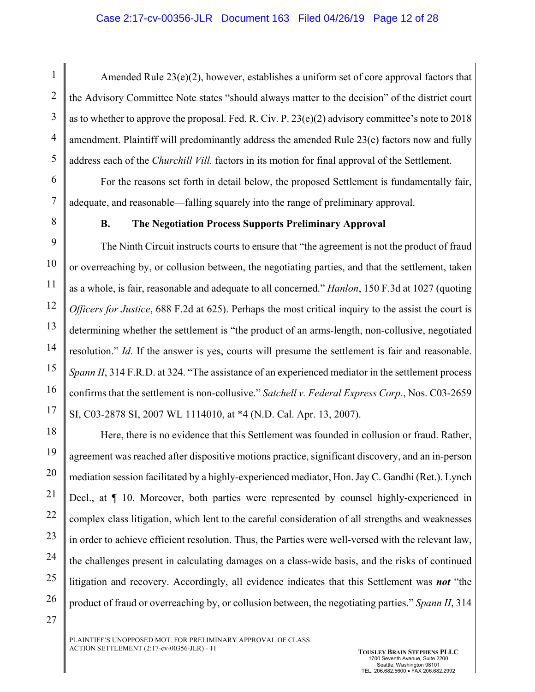#### Case 2:17-cv-00356-JLR Document 163 Filed 04/26/19 Page 12 of 28

Amended Rule 23(e)(2), however, establishes a uniform set of core approval factors that the Advisory Committee Note states "should always matter to the decision" of the district court as to whether to approve the proposal. Fed. R. Civ. P. 23(e)(2) advisory committee's note to 2018 amendment. Plaintiff will predominantly address the amended Rule 23(e) factors now and fully address each of the *Churchill Vill.* factors in its motion for final approval of the Settlement.

For the reasons set forth in detail below, the proposed Settlement is fundamentally fair, adequate, and reasonable—falling squarely into the range of preliminary approval.

1

2

3

4

5

6

7

8

27

#### **B. The Negotiation Process Supports Preliminary Approval**

9 10 11 12 13 14 15 16 17 The Ninth Circuit instructs courts to ensure that "the agreement is not the product of fraud or overreaching by, or collusion between, the negotiating parties, and that the settlement, taken as a whole, is fair, reasonable and adequate to all concerned." *Hanlon*, 150 F.3d at 1027 (quoting *Officers for Justice*, 688 F.2d at 625). Perhaps the most critical inquiry to the assist the court is determining whether the settlement is "the product of an arms-length, non-collusive, negotiated resolution." *Id.* If the answer is yes, courts will presume the settlement is fair and reasonable. *Spann II*, 314 F.R.D. at 324. "The assistance of an experienced mediator in the settlement process confirms that the settlement is non-collusive." *Satchell v. Federal Express Corp.*, Nos. C03-2659 SI, C03-2878 SI, 2007 WL 1114010, at \*4 (N.D. Cal. Apr. 13, 2007).

18 19 20 21 22 23 24 25 26 Here, there is no evidence that this Settlement was founded in collusion or fraud. Rather, agreement was reached after dispositive motions practice, significant discovery, and an in-person mediation session facilitated by a highly-experienced mediator, Hon. Jay C. Gandhi (Ret.). Lynch Decl., at ¶ 10. Moreover, both parties were represented by counsel highly-experienced in complex class litigation, which lent to the careful consideration of all strengths and weaknesses in order to achieve efficient resolution. Thus, the Parties were well-versed with the relevant law, the challenges present in calculating damages on a class-wide basis, and the risks of continued litigation and recovery. Accordingly, all evidence indicates that this Settlement was *not* "the product of fraud or overreaching by, or collusion between, the negotiating parties." *Spann II*, 314

PLAINTIFF'S UNOPPOSED MOT. FOR PRELIMINARY APPROVAL OF CLASS ACTION SETTLEMENT (2:17-cv-00356-JLR) - 11 **TOUSLEY BRAIN STEPHENS PLLC**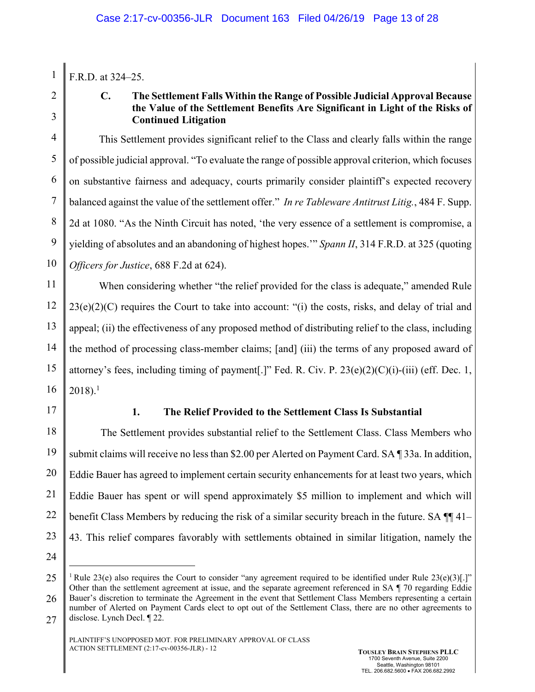1 F.R.D. at 324–25.

2

3

# **C. The Settlement Falls Within the Range of Possible Judicial Approval Because the Value of the Settlement Benefits Are Significant in Light of the Risks of Continued Litigation**

4 5 6 7 8 9 10 This Settlement provides significant relief to the Class and clearly falls within the range of possible judicial approval. "To evaluate the range of possible approval criterion, which focuses on substantive fairness and adequacy, courts primarily consider plaintiff's expected recovery balanced against the value of the settlement offer." *In re Tableware Antitrust Litig.*, 484 F. Supp. 2d at 1080. "As the Ninth Circuit has noted, 'the very essence of a settlement is compromise, a yielding of absolutes and an abandoning of highest hopes.'" *Spann II*, 314 F.R.D. at 325 (quoting *Officers for Justice*, 688 F.2d at 624).

11 12 13 14 15 16 When considering whether "the relief provided for the class is adequate," amended Rule 23(e)(2)(C) requires the Court to take into account: "(i) the costs, risks, and delay of trial and appeal; (ii) the effectiveness of any proposed method of distributing relief to the class, including the method of processing class-member claims; [and] (iii) the terms of any proposed award of attorney's fees, including timing of payment[.]" Fed. R. Civ. P. 23(e)(2)(C)(i)-(iii) (eff. Dec. 1,  $2018$ ).<sup>1</sup>

17

# **1. The Relief Provided to the Settlement Class Is Substantial**

18 19 20 21 22 23 The Settlement provides substantial relief to the Settlement Class. Class Members who submit claims will receive no less than \$2.00 per Alerted on Payment Card. SA ¶ 33a. In addition, Eddie Bauer has agreed to implement certain security enhancements for at least two years, which Eddie Bauer has spent or will spend approximately \$5 million to implement and which will benefit Class Members by reducing the risk of a similar security breach in the future. SA  $\P$  41– 43. This relief compares favorably with settlements obtained in similar litigation, namely the

24

 $\overline{a}$ 

<sup>25</sup>  26 27 <sup>1</sup> Rule 23(e) also requires the Court to consider "any agreement required to be identified under Rule 23(e)(3)[.]" Other than the settlement agreement at issue, and the separate agreement referenced in SA ¶ 70 regarding Eddie Bauer's discretion to terminate the Agreement in the event that Settlement Class Members representing a certain number of Alerted on Payment Cards elect to opt out of the Settlement Class, there are no other agreements to disclose. Lynch Decl. ¶ 22.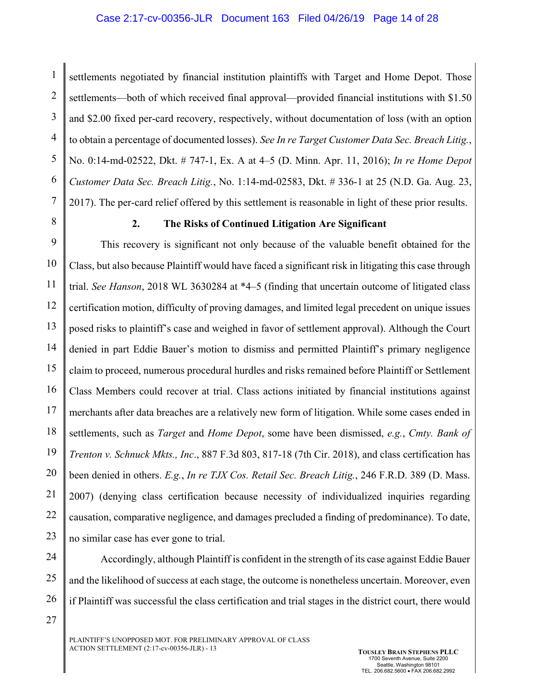1 2 3 4 5 6 7 settlements negotiated by financial institution plaintiffs with Target and Home Depot. Those settlements—both of which received final approval—provided financial institutions with \$1.50 and \$2.00 fixed per-card recovery, respectively, without documentation of loss (with an option to obtain a percentage of documented losses). *See In re Target Customer Data Sec. Breach Litig.*, No. 0:14-md-02522, Dkt. # 747-1, Ex. A at 4–5 (D. Minn. Apr. 11, 2016); *In re Home Depot Customer Data Sec. Breach Litig.*, No. 1:14-md-02583, Dkt. # 336-1 at 25 (N.D. Ga. Aug. 23, 2017). The per-card relief offered by this settlement is reasonable in light of these prior results.

8

27

## **2. The Risks of Continued Litigation Are Significant**

9 10 11 12 13 14 15 16 17 18 19 20 21 22 23 This recovery is significant not only because of the valuable benefit obtained for the Class, but also because Plaintiff would have faced a significant risk in litigating this case through trial. *See Hanson*, 2018 WL 3630284 at \*4–5 (finding that uncertain outcome of litigated class certification motion, difficulty of proving damages, and limited legal precedent on unique issues posed risks to plaintiff's case and weighed in favor of settlement approval). Although the Court denied in part Eddie Bauer's motion to dismiss and permitted Plaintiff's primary negligence claim to proceed, numerous procedural hurdles and risks remained before Plaintiff or Settlement Class Members could recover at trial. Class actions initiated by financial institutions against merchants after data breaches are a relatively new form of litigation. While some cases ended in settlements, such as *Target* and *Home Depot*, some have been dismissed, *e.g.*, *Cmty. Bank of Trenton v. Schnuck Mkts., Inc*., 887 F.3d 803, 817-18 (7th Cir. 2018), and class certification has been denied in others. *E.g.*, *In re TJX Cos. Retail Sec. Breach Litig.*, 246 F.R.D. 389 (D. Mass. 2007) (denying class certification because necessity of individualized inquiries regarding causation, comparative negligence, and damages precluded a finding of predominance). To date, no similar case has ever gone to trial.

24 25 26 Accordingly, although Plaintiff is confident in the strength of its case against Eddie Bauer and the likelihood of success at each stage, the outcome is nonetheless uncertain. Moreover, even if Plaintiff was successful the class certification and trial stages in the district court, there would

PLAINTIFF'S UNOPPOSED MOT. FOR PRELIMINARY APPROVAL OF CLASS ACTION SETTLEMENT (2:17-cv-00356-JLR) - 13 **TOUSLEY BRAIN STEPHENS PLLC**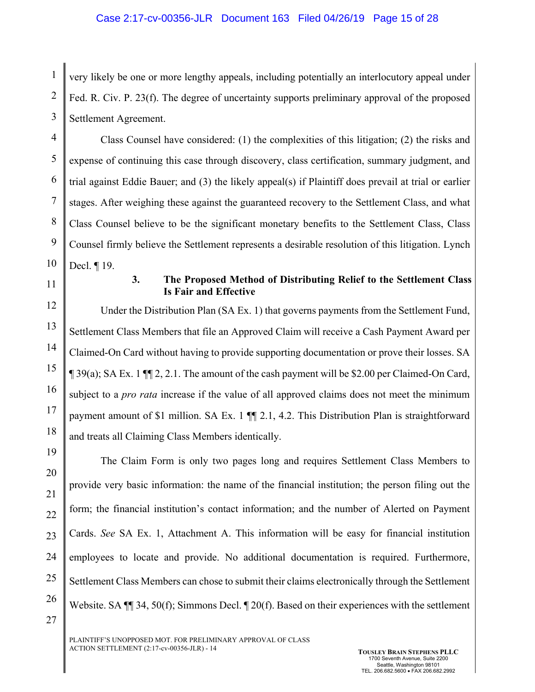1 2 3 very likely be one or more lengthy appeals, including potentially an interlocutory appeal under Fed. R. Civ. P. 23(f). The degree of uncertainty supports preliminary approval of the proposed Settlement Agreement.

4 5 6 7 8 9 10 Class Counsel have considered: (1) the complexities of this litigation; (2) the risks and expense of continuing this case through discovery, class certification, summary judgment, and trial against Eddie Bauer; and (3) the likely appeal(s) if Plaintiff does prevail at trial or earlier stages. After weighing these against the guaranteed recovery to the Settlement Class, and what Class Counsel believe to be the significant monetary benefits to the Settlement Class, Class Counsel firmly believe the Settlement represents a desirable resolution of this litigation. Lynch Decl. ¶ 19.

11

### **3. The Proposed Method of Distributing Relief to the Settlement Class Is Fair and Effective**

12 13 14 15 16 17 18 Under the Distribution Plan (SA Ex. 1) that governs payments from the Settlement Fund, Settlement Class Members that file an Approved Claim will receive a Cash Payment Award per Claimed-On Card without having to provide supporting documentation or prove their losses. SA  $\P$  39(a); SA Ex. 1  $\P$  $\eta$  2, 2.1. The amount of the cash payment will be \$2.00 per Claimed-On Card, subject to a *pro rata* increase if the value of all approved claims does not meet the minimum payment amount of \$1 million. SA Ex. 1  $\P$  2.1, 4.2. This Distribution Plan is straightforward and treats all Claiming Class Members identically.

19 20 21 22 23 24 25 26 27 The Claim Form is only two pages long and requires Settlement Class Members to provide very basic information: the name of the financial institution; the person filing out the form; the financial institution's contact information; and the number of Alerted on Payment Cards. *See* SA Ex. 1, Attachment A. This information will be easy for financial institution employees to locate and provide. No additional documentation is required. Furthermore, Settlement Class Members can chose to submit their claims electronically through the Settlement Website. SA  $\P$  34, 50(f); Simmons Decl.  $\P$  20(f). Based on their experiences with the settlement

PLAINTIFF'S UNOPPOSED MOT. FOR PRELIMINARY APPROVAL OF CLASS ACTION SETTLEMENT (2:17-cv-00356-JLR) - 14 **TOUSLEY BRAIN STEPHENS PLLC**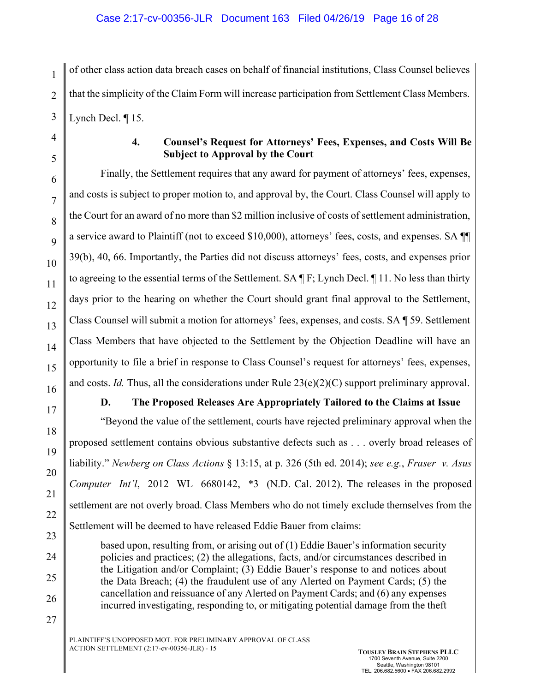1 2 3 of other class action data breach cases on behalf of financial institutions, Class Counsel believes that the simplicity of the Claim Form will increase participation from Settlement Class Members. Lynch Decl. ¶ 15.

8

9

10

11

12

13

14

15

16

17

18

19

20

21

22

23

24

25

26

27

# **4. Counsel's Request for Attorneys' Fees, Expenses, and Costs Will Be Subject to Approval by the Court**

Finally, the Settlement requires that any award for payment of attorneys' fees, expenses, and costs is subject to proper motion to, and approval by, the Court. Class Counsel will apply to the Court for an award of no more than \$2 million inclusive of costs of settlement administration, a service award to Plaintiff (not to exceed \$10,000), attorneys' fees, costs, and expenses. SA ¶¶ 39(b), 40, 66. Importantly, the Parties did not discuss attorneys' fees, costs, and expenses prior to agreeing to the essential terms of the Settlement. SA ¶ F; Lynch Decl. ¶ 11. No less than thirty days prior to the hearing on whether the Court should grant final approval to the Settlement, Class Counsel will submit a motion for attorneys' fees, expenses, and costs. SA ¶ 59. Settlement Class Members that have objected to the Settlement by the Objection Deadline will have an opportunity to file a brief in response to Class Counsel's request for attorneys' fees, expenses, and costs. *Id.* Thus, all the considerations under Rule  $23(e)(2)(C)$  support preliminary approval.

# **D. The Proposed Releases Are Appropriately Tailored to the Claims at Issue**

"Beyond the value of the settlement, courts have rejected preliminary approval when the proposed settlement contains obvious substantive defects such as . . . overly broad releases of liability." *Newberg on Class Actions* § 13:15, at p. 326 (5th ed. 2014); *see e.g.*, *Fraser v. Asus Computer Int'l*, 2012 WL 6680142, \*3 (N.D. Cal. 2012). The releases in the proposed settlement are not overly broad. Class Members who do not timely exclude themselves from the Settlement will be deemed to have released Eddie Bauer from claims:

based upon, resulting from, or arising out of (1) Eddie Bauer's information security policies and practices; (2) the allegations, facts, and/or circumstances described in the Litigation and/or Complaint; (3) Eddie Bauer's response to and notices about the Data Breach; (4) the fraudulent use of any Alerted on Payment Cards; (5) the cancellation and reissuance of any Alerted on Payment Cards; and (6) any expenses incurred investigating, responding to, or mitigating potential damage from the theft

PLAINTIFF'S UNOPPOSED MOT. FOR PRELIMINARY APPROVAL OF CLASS ACTION SETTLEMENT (2:17-cv-00356-JLR) - 15 **TOUSLEY BRAIN STEPHENS PLLC**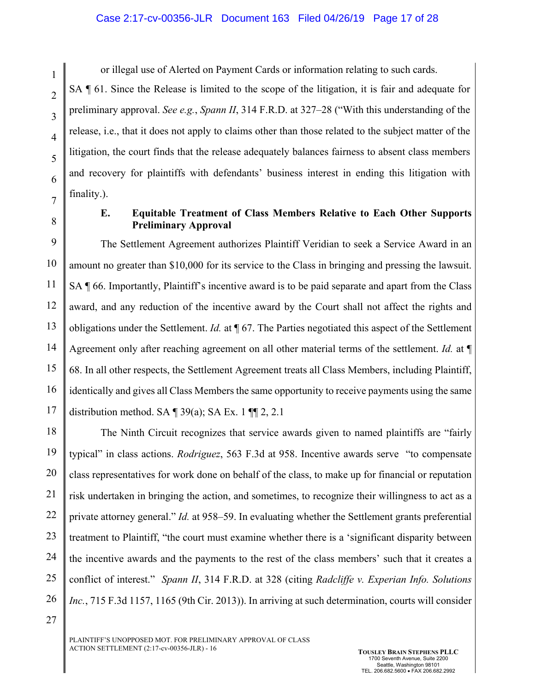#### Case 2:17-cv-00356-JLR Document 163 Filed 04/26/19 Page 17 of 28

or illegal use of Alerted on Payment Cards or information relating to such cards.

SA ¶ 61. Since the Release is limited to the scope of the litigation, it is fair and adequate for preliminary approval. *See e.g.*, *Spann II*, 314 F.R.D. at 327–28 ("With this understanding of the release, i.e., that it does not apply to claims other than those related to the subject matter of the litigation, the court finds that the release adequately balances fairness to absent class members and recovery for plaintiffs with defendants' business interest in ending this litigation with finality.).

8

27

1

2

3

4

5

6

7

## **E. Equitable Treatment of Class Members Relative to Each Other Supports Preliminary Approval**

9 10 11 12 13 14 15 16 17 The Settlement Agreement authorizes Plaintiff Veridian to seek a Service Award in an amount no greater than \$10,000 for its service to the Class in bringing and pressing the lawsuit. SA ¶ 66. Importantly, Plaintiff's incentive award is to be paid separate and apart from the Class award, and any reduction of the incentive award by the Court shall not affect the rights and obligations under the Settlement. *Id.* at ¶ 67. The Parties negotiated this aspect of the Settlement Agreement only after reaching agreement on all other material terms of the settlement. *Id.* at ¶ 68. In all other respects, the Settlement Agreement treats all Class Members, including Plaintiff, identically and gives all Class Members the same opportunity to receive payments using the same distribution method. SA  $\P$  39(a); SA Ex. 1  $\P$  $\P$  2, 2.1

18 19 20 21 22 23 24 25 26 The Ninth Circuit recognizes that service awards given to named plaintiffs are "fairly typical" in class actions. *Rodriguez*, 563 F.3d at 958. Incentive awards serve "to compensate class representatives for work done on behalf of the class, to make up for financial or reputation risk undertaken in bringing the action, and sometimes, to recognize their willingness to act as a private attorney general." *Id.* at 958–59. In evaluating whether the Settlement grants preferential treatment to Plaintiff, "the court must examine whether there is a 'significant disparity between the incentive awards and the payments to the rest of the class members' such that it creates a conflict of interest." *Spann II*, 314 F.R.D. at 328 (citing *Radcliffe v. Experian Info. Solutions Inc.*, 715 F.3d 1157, 1165 (9th Cir. 2013)). In arriving at such determination, courts will consider

PLAINTIFF'S UNOPPOSED MOT. FOR PRELIMINARY APPROVAL OF CLASS ACTION SETTLEMENT (2:17-cv-00356-JLR) - 16 **TOUSLEY BRAIN STEPHENS PLLC**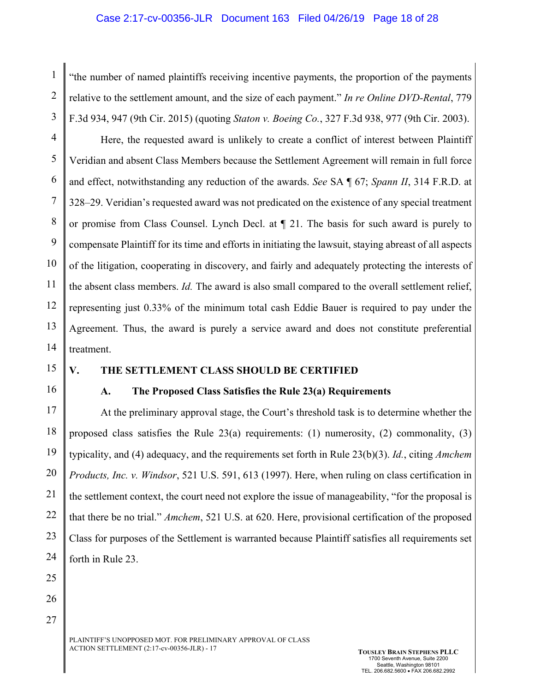#### Case 2:17-cv-00356-JLR Document 163 Filed 04/26/19 Page 18 of 28

1 2 3 "the number of named plaintiffs receiving incentive payments, the proportion of the payments relative to the settlement amount, and the size of each payment." *In re Online DVD-Rental*, 779 F.3d 934, 947 (9th Cir. 2015) (quoting *Staton v. Boeing Co.*, 327 F.3d 938, 977 (9th Cir. 2003).

4 5 6 7 8 9 10 11 12 13 14 Here, the requested award is unlikely to create a conflict of interest between Plaintiff Veridian and absent Class Members because the Settlement Agreement will remain in full force and effect, notwithstanding any reduction of the awards. *See* SA ¶ 67; *Spann II*, 314 F.R.D. at 328–29. Veridian's requested award was not predicated on the existence of any special treatment or promise from Class Counsel. Lynch Decl. at ¶ 21. The basis for such award is purely to compensate Plaintiff for its time and efforts in initiating the lawsuit, staying abreast of all aspects of the litigation, cooperating in discovery, and fairly and adequately protecting the interests of the absent class members. *Id.* The award is also small compared to the overall settlement relief, representing just 0.33% of the minimum total cash Eddie Bauer is required to pay under the Agreement. Thus, the award is purely a service award and does not constitute preferential treatment.

15

# **V. THE SETTLEMENT CLASS SHOULD BE CERTIFIED**

16

# **A. The Proposed Class Satisfies the Rule 23(a) Requirements**

17 18 19 20 21 22 23 24 At the preliminary approval stage, the Court's threshold task is to determine whether the proposed class satisfies the Rule  $23(a)$  requirements: (1) numerosity, (2) commonality, (3) typicality, and (4) adequacy, and the requirements set forth in Rule 23(b)(3). *Id.*, citing *Amchem Products, Inc. v. Windsor*, 521 U.S. 591, 613 (1997). Here, when ruling on class certification in the settlement context, the court need not explore the issue of manageability, "for the proposal is that there be no trial." *Amchem*, 521 U.S. at 620. Here, provisional certification of the proposed Class for purposes of the Settlement is warranted because Plaintiff satisfies all requirements set forth in Rule 23.

- 25
- 26

27

PLAINTIFF'S UNOPPOSED MOT. FOR PRELIMINARY APPROVAL OF CLASS ACTION SETTLEMENT (2:17-cv-00356-JLR) - 17 **TOUSLEY BRAIN STEPHENS PLLC**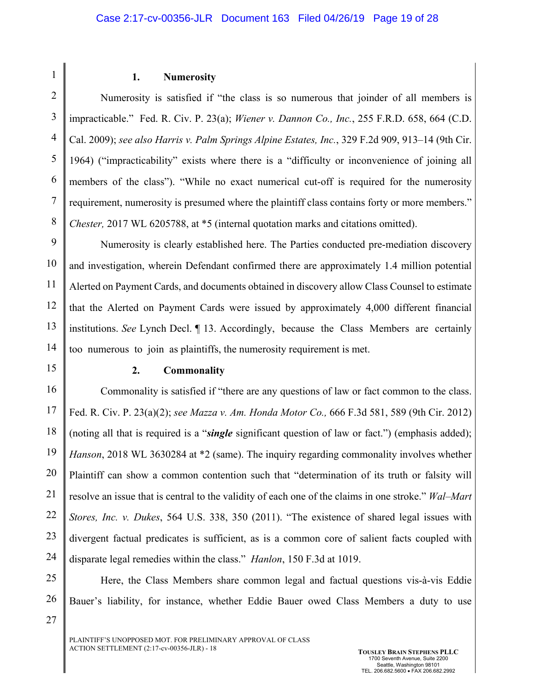2

1

### **1. Numerosity**

3 4 5 6 7 8 Numerosity is satisfied if "the class is so numerous that joinder of all members is impracticable." Fed. R. Civ. P. 23(a); *Wiener v. Dannon Co., Inc.*, 255 F.R.D. 658, 664 (C.D. Cal. 2009); *see also Harris v. Palm Springs Alpine Estates, Inc.*, 329 F.2d 909, 913–14 (9th Cir. 1964) ("impracticability" exists where there is a "difficulty or inconvenience of joining all members of the class"). "While no exact numerical cut-off is required for the numerosity requirement, numerosity is presumed where the plaintiff class contains forty or more members." *Chester,* 2017 WL 6205788, at \*5 (internal quotation marks and citations omitted).

9 10 11 12 13 14 Numerosity is clearly established here. The Parties conducted pre-mediation discovery and investigation, wherein Defendant confirmed there are approximately 1.4 million potential Alerted on Payment Cards, and documents obtained in discovery allow Class Counsel to estimate that the Alerted on Payment Cards were issued by approximately 4,000 different financial institutions. *See* Lynch Decl. ¶ 13. Accordingly, because the Class Members are certainly too numerous to join as plaintiffs, the numerosity requirement is met.

15

### **2. Commonality**

16 17 18 19 20 21 22 23 24 Commonality is satisfied if "there are any questions of law or fact common to the class. Fed. R. Civ. P. 23(a)(2); *see Mazza v. Am. Honda Motor Co.,* 666 F.3d 581, 589 (9th Cir. 2012) (noting all that is required is a "*single* significant question of law or fact.") (emphasis added); *Hanson*, 2018 WL 3630284 at \*2 (same). The inquiry regarding commonality involves whether Plaintiff can show a common contention such that "determination of its truth or falsity will resolve an issue that is central to the validity of each one of the claims in one stroke." *Wal–Mart Stores, Inc. v. Dukes*, 564 U.S. 338, 350 (2011). "The existence of shared legal issues with divergent factual predicates is sufficient, as is a common core of salient facts coupled with disparate legal remedies within the class." *Hanlon*, 150 F.3d at 1019.

25

26

27

Here, the Class Members share common legal and factual questions vis-à-vis Eddie Bauer's liability, for instance, whether Eddie Bauer owed Class Members a duty to use

PLAINTIFF'S UNOPPOSED MOT. FOR PRELIMINARY APPROVAL OF CLASS ACTION SETTLEMENT (2:17-cv-00356-JLR) - 18 **TOUSLEY BRAIN STEPHENS PLLC**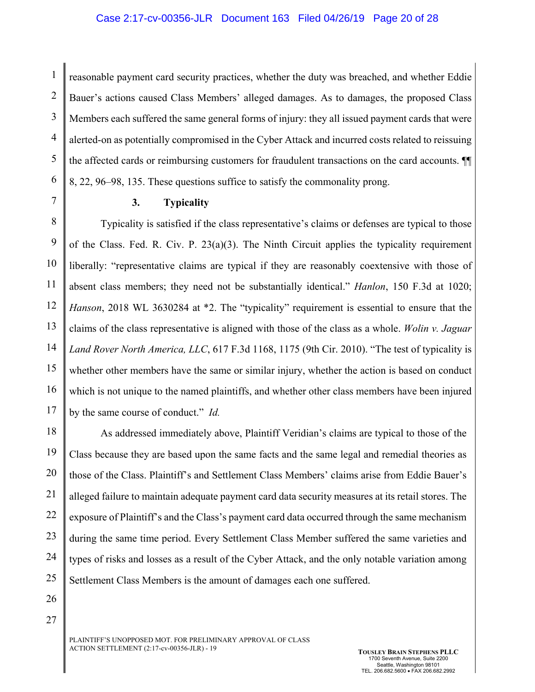1 2 3 4 5 6 reasonable payment card security practices, whether the duty was breached, and whether Eddie Bauer's actions caused Class Members' alleged damages. As to damages, the proposed Class Members each suffered the same general forms of injury: they all issued payment cards that were alerted-on as potentially compromised in the Cyber Attack and incurred costs related to reissuing the affected cards or reimbursing customers for fraudulent transactions on the card accounts. ¶¶ 8, 22, 96–98, 135. These questions suffice to satisfy the commonality prong.

7

### **3. Typicality**

8 9 10 11 12 13 14 15 16 17 Typicality is satisfied if the class representative's claims or defenses are typical to those of the Class. Fed. R. Civ. P. 23(a)(3). The Ninth Circuit applies the typicality requirement liberally: "representative claims are typical if they are reasonably coextensive with those of absent class members; they need not be substantially identical." *Hanlon*, 150 F.3d at 1020; *Hanson*, 2018 WL 3630284 at \*2. The "typicality" requirement is essential to ensure that the claims of the class representative is aligned with those of the class as a whole. *Wolin v. Jaguar Land Rover North America, LLC*, 617 F.3d 1168, 1175 (9th Cir. 2010). "The test of typicality is whether other members have the same or similar injury, whether the action is based on conduct which is not unique to the named plaintiffs, and whether other class members have been injured by the same course of conduct." *Id.* 

18 19 20 21 22 23 24 25 As addressed immediately above, Plaintiff Veridian's claims are typical to those of the Class because they are based upon the same facts and the same legal and remedial theories as those of the Class. Plaintiff's and Settlement Class Members' claims arise from Eddie Bauer's alleged failure to maintain adequate payment card data security measures at its retail stores. The exposure of Plaintiff's and the Class's payment card data occurred through the same mechanism during the same time period. Every Settlement Class Member suffered the same varieties and types of risks and losses as a result of the Cyber Attack, and the only notable variation among Settlement Class Members is the amount of damages each one suffered.

26

27

PLAINTIFF'S UNOPPOSED MOT. FOR PRELIMINARY APPROVAL OF CLASS ACTION SETTLEMENT (2:17-cv-00356-JLR) - 19 **TOUSLEY BRAIN STEPHENS PLLC**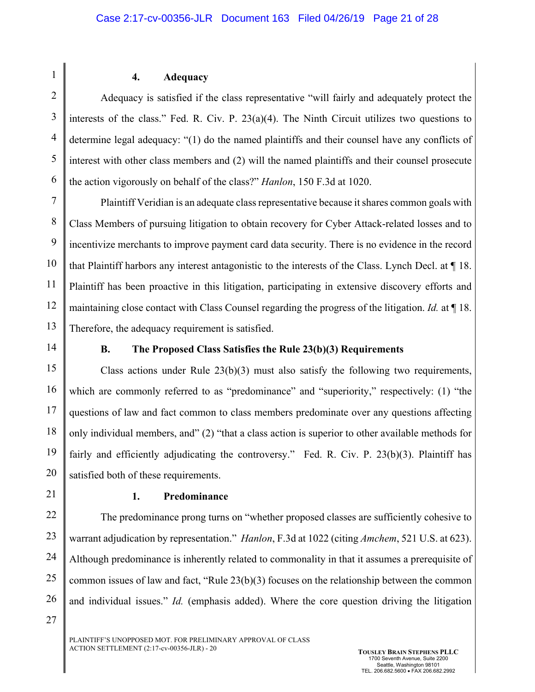2

1

## **4. Adequacy**

3 4 5 6 Adequacy is satisfied if the class representative "will fairly and adequately protect the interests of the class." Fed. R. Civ. P. 23(a)(4). The Ninth Circuit utilizes two questions to determine legal adequacy: "(1) do the named plaintiffs and their counsel have any conflicts of interest with other class members and (2) will the named plaintiffs and their counsel prosecute the action vigorously on behalf of the class?" *Hanlon*, 150 F.3d at 1020.

7 8 9 10 11 12 13 Plaintiff Veridian is an adequate class representative because it shares common goals with Class Members of pursuing litigation to obtain recovery for Cyber Attack-related losses and to incentivize merchants to improve payment card data security. There is no evidence in the record that Plaintiff harbors any interest antagonistic to the interests of the Class. Lynch Decl. at ¶ 18. Plaintiff has been proactive in this litigation, participating in extensive discovery efforts and maintaining close contact with Class Counsel regarding the progress of the litigation. *Id.* at ¶ 18. Therefore, the adequacy requirement is satisfied.

14

# **B. The Proposed Class Satisfies the Rule 23(b)(3) Requirements**

15 16 17 18 19 20 Class actions under Rule  $23(b)(3)$  must also satisfy the following two requirements, which are commonly referred to as "predominance" and "superiority," respectively: (1) "the questions of law and fact common to class members predominate over any questions affecting only individual members, and" (2) "that a class action is superior to other available methods for fairly and efficiently adjudicating the controversy." Fed. R. Civ. P. 23(b)(3). Plaintiff has satisfied both of these requirements.

21

27

## **1. Predominance**

22 23 24 25 26 The predominance prong turns on "whether proposed classes are sufficiently cohesive to warrant adjudication by representation." *Hanlon*, F.3d at 1022 (citing *Amchem*, 521 U.S. at 623). Although predominance is inherently related to commonality in that it assumes a prerequisite of common issues of law and fact, "Rule 23(b)(3) focuses on the relationship between the common and individual issues." *Id.* (emphasis added). Where the core question driving the litigation

PLAINTIFF'S UNOPPOSED MOT. FOR PRELIMINARY APPROVAL OF CLASS ACTION SETTLEMENT (2:17-cv-00356-JLR) - 20 **TOUSLEY BRAIN STEPHENS PLLC**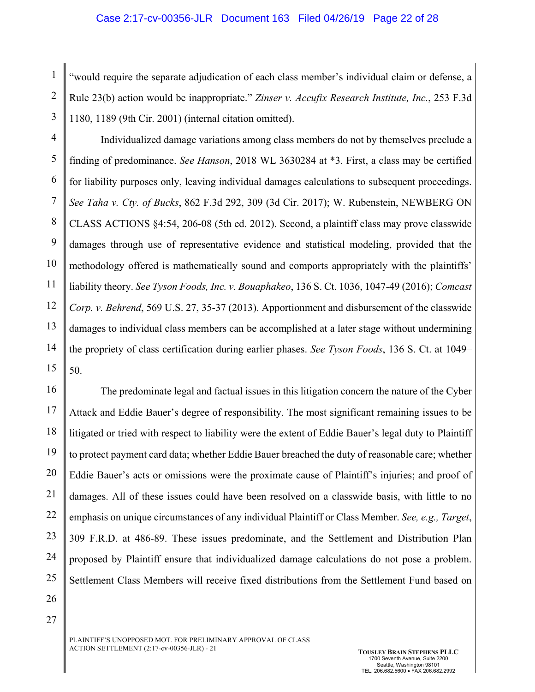1 2 3 "would require the separate adjudication of each class member's individual claim or defense, a Rule 23(b) action would be inappropriate." *Zinser v. Accufix Research Institute, Inc.*, 253 F.3d 1180, 1189 (9th Cir. 2001) (internal citation omitted).

4 5 6 7 8 9 10 11 12 13 14 15 Individualized damage variations among class members do not by themselves preclude a finding of predominance. *See Hanson*, 2018 WL 3630284 at \*3. First, a class may be certified for liability purposes only, leaving individual damages calculations to subsequent proceedings. *See Taha v. Cty. of Bucks*, 862 F.3d 292, 309 (3d Cir. 2017); W. Rubenstein, NEWBERG ON CLASS ACTIONS §4:54, 206-08 (5th ed. 2012). Second, a plaintiff class may prove classwide damages through use of representative evidence and statistical modeling, provided that the methodology offered is mathematically sound and comports appropriately with the plaintiffs' liability theory. *See Tyson Foods, Inc. v. Bouaphakeo*, 136 S. Ct. 1036, 1047-49 (2016); *Comcast Corp. v. Behrend*, 569 U.S. 27, 35-37 (2013). Apportionment and disbursement of the classwide damages to individual class members can be accomplished at a later stage without undermining the propriety of class certification during earlier phases. *See Tyson Foods*, 136 S. Ct. at 1049– 50.

16 17 18 19 20 21 22 23 24 25 The predominate legal and factual issues in this litigation concern the nature of the Cyber Attack and Eddie Bauer's degree of responsibility. The most significant remaining issues to be litigated or tried with respect to liability were the extent of Eddie Bauer's legal duty to Plaintiff to protect payment card data; whether Eddie Bauer breached the duty of reasonable care; whether Eddie Bauer's acts or omissions were the proximate cause of Plaintiff's injuries; and proof of damages. All of these issues could have been resolved on a classwide basis, with little to no emphasis on unique circumstances of any individual Plaintiff or Class Member. *See, e.g., Target*, 309 F.R.D. at 486-89. These issues predominate, and the Settlement and Distribution Plan proposed by Plaintiff ensure that individualized damage calculations do not pose a problem. Settlement Class Members will receive fixed distributions from the Settlement Fund based on

26

27

PLAINTIFF'S UNOPPOSED MOT. FOR PRELIMINARY APPROVAL OF CLASS ACTION SETTLEMENT (2:17-cv-00356-JLR) - 21 **TOUSLEY BRAIN STEPHENS PLLC**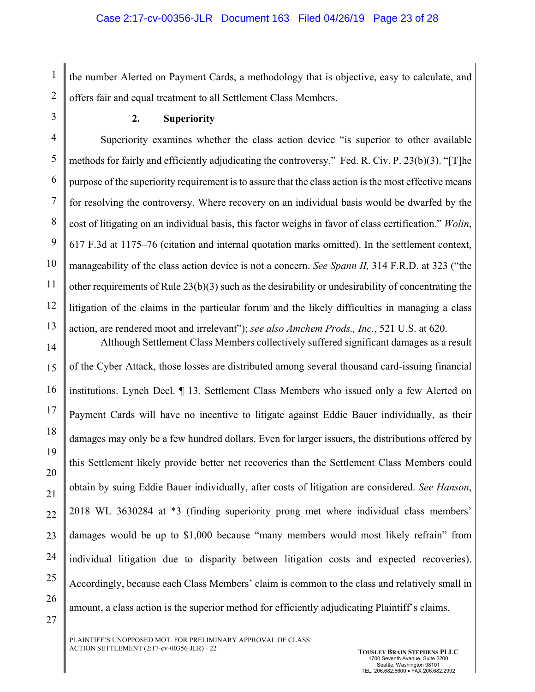1 2 the number Alerted on Payment Cards, a methodology that is objective, easy to calculate, and offers fair and equal treatment to all Settlement Class Members.

3

## **2. Superiority**

4 5 6 7 8 9 10 11 12 13 Superiority examines whether the class action device "is superior to other available methods for fairly and efficiently adjudicating the controversy." Fed. R. Civ. P. 23(b)(3). "[T]he purpose of the superiority requirement is to assure that the class action is the most effective means for resolving the controversy. Where recovery on an individual basis would be dwarfed by the cost of litigating on an individual basis, this factor weighs in favor of class certification." *Wolin*, 617 F.3d at 1175–76 (citation and internal quotation marks omitted). In the settlement context, manageability of the class action device is not a concern. *See Spann II,* 314 F.R.D. at 323 ("the other requirements of Rule 23(b)(3) such as the desirability or undesirability of concentrating the litigation of the claims in the particular forum and the likely difficulties in managing a class action, are rendered moot and irrelevant"); *see also Amchem Prods., Inc.*, 521 U.S. at 620. Although Settlement Class Members collectively suffered significant damages as a result

14 15 16 17 18 19 20 21 22 23 24 25 26 27 of the Cyber Attack, those losses are distributed among several thousand card-issuing financial institutions. Lynch Decl. ¶ 13. Settlement Class Members who issued only a few Alerted on Payment Cards will have no incentive to litigate against Eddie Bauer individually, as their damages may only be a few hundred dollars. Even for larger issuers, the distributions offered by this Settlement likely provide better net recoveries than the Settlement Class Members could obtain by suing Eddie Bauer individually, after costs of litigation are considered. *See Hanson*, 2018 WL 3630284 at \*3 (finding superiority prong met where individual class members' damages would be up to \$1,000 because "many members would most likely refrain" from individual litigation due to disparity between litigation costs and expected recoveries). Accordingly, because each Class Members' claim is common to the class and relatively small in amount, a class action is the superior method for efficiently adjudicating Plaintiff's claims.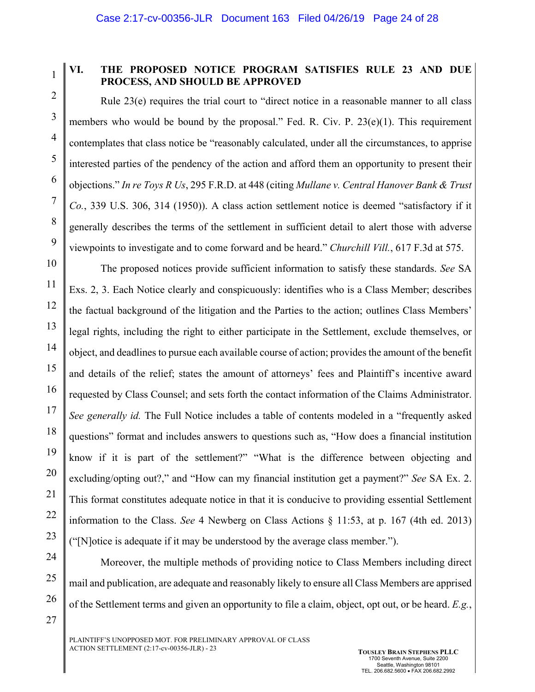1 2

3

4

5

6

7

8

9

27

# **VI. THE PROPOSED NOTICE PROGRAM SATISFIES RULE 23 AND DUE PROCESS, AND SHOULD BE APPROVED**

Rule 23(e) requires the trial court to "direct notice in a reasonable manner to all class members who would be bound by the proposal." Fed. R. Civ. P.  $23(e)(1)$ . This requirement contemplates that class notice be "reasonably calculated, under all the circumstances, to apprise interested parties of the pendency of the action and afford them an opportunity to present their objections." *In re Toys R Us*, 295 F.R.D. at 448 (citing *Mullane v. Central Hanover Bank & Trust Co.*, 339 U.S. 306, 314 (1950)). A class action settlement notice is deemed "satisfactory if it generally describes the terms of the settlement in sufficient detail to alert those with adverse viewpoints to investigate and to come forward and be heard." *Churchill Vill.*, 617 F.3d at 575.

10 11 12 13 14 15 16 17 18 19 20 21 22 23 The proposed notices provide sufficient information to satisfy these standards. *See* SA Exs. 2, 3. Each Notice clearly and conspicuously: identifies who is a Class Member; describes the factual background of the litigation and the Parties to the action; outlines Class Members' legal rights, including the right to either participate in the Settlement, exclude themselves, or object, and deadlines to pursue each available course of action; provides the amount of the benefit and details of the relief; states the amount of attorneys' fees and Plaintiff's incentive award requested by Class Counsel; and sets forth the contact information of the Claims Administrator. *See generally id.* The Full Notice includes a table of contents modeled in a "frequently asked questions" format and includes answers to questions such as, "How does a financial institution know if it is part of the settlement?" "What is the difference between objecting and excluding/opting out?," and "How can my financial institution get a payment?" *See* SA Ex. 2. This format constitutes adequate notice in that it is conducive to providing essential Settlement information to the Class. *See* 4 Newberg on Class Actions § 11:53, at p. 167 (4th ed. 2013) ("[N]otice is adequate if it may be understood by the average class member.").

24 25 26 Moreover, the multiple methods of providing notice to Class Members including direct mail and publication, are adequate and reasonably likely to ensure all Class Members are apprised of the Settlement terms and given an opportunity to file a claim, object, opt out, or be heard. *E.g.*,

PLAINTIFF'S UNOPPOSED MOT. FOR PRELIMINARY APPROVAL OF CLASS ACTION SETTLEMENT (2:17-cv-00356-JLR) - 23 **TOUSLEY BRAIN STEPHENS PLLC**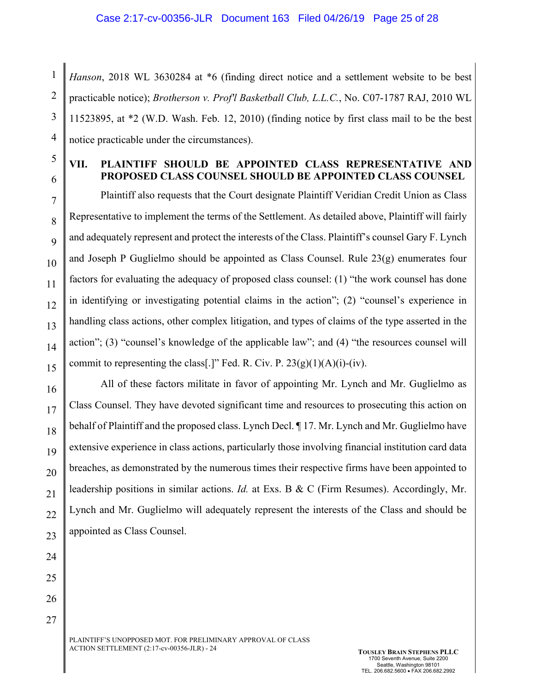1 2 3 4 *Hanson*, 2018 WL 3630284 at \*6 (finding direct notice and a settlement website to be best practicable notice); *Brotherson v. Prof'l Basketball Club, L.L.C.*, No. C07-1787 RAJ, 2010 WL 11523895, at \*2 (W.D. Wash. Feb. 12, 2010) (finding notice by first class mail to be the best notice practicable under the circumstances).

# **VII. PLAINTIFF SHOULD BE APPOINTED CLASS REPRESENTATIVE AND PROPOSED CLASS COUNSEL SHOULD BE APPOINTED CLASS COUNSEL**

7 8 9 10 11 12 13 14 15 Plaintiff also requests that the Court designate Plaintiff Veridian Credit Union as Class Representative to implement the terms of the Settlement. As detailed above, Plaintiff will fairly and adequately represent and protect the interests of the Class. Plaintiff's counsel Gary F. Lynch and Joseph P Guglielmo should be appointed as Class Counsel. Rule 23(g) enumerates four factors for evaluating the adequacy of proposed class counsel: (1) "the work counsel has done in identifying or investigating potential claims in the action"; (2) "counsel's experience in handling class actions, other complex litigation, and types of claims of the type asserted in the action"; (3) "counsel's knowledge of the applicable law"; and (4) "the resources counsel will commit to representing the class[.]" Fed. R. Civ. P.  $23(g)(1)(A)(i)$ -(iv).

16 17 18 19 20 21 22 23 All of these factors militate in favor of appointing Mr. Lynch and Mr. Guglielmo as Class Counsel. They have devoted significant time and resources to prosecuting this action on behalf of Plaintiff and the proposed class. Lynch Decl. ¶ 17. Mr. Lynch and Mr. Guglielmo have extensive experience in class actions, particularly those involving financial institution card data breaches, as demonstrated by the numerous times their respective firms have been appointed to leadership positions in similar actions. *Id.* at Exs. B & C (Firm Resumes). Accordingly, Mr. Lynch and Mr. Guglielmo will adequately represent the interests of the Class and should be appointed as Class Counsel.

24 25 26

27

5

6

PLAINTIFF'S UNOPPOSED MOT. FOR PRELIMINARY APPROVAL OF CLASS ACTION SETTLEMENT (2:17-cv-00356-JLR) - 24 **TOUSLEY BRAIN STEPHENS PLLC**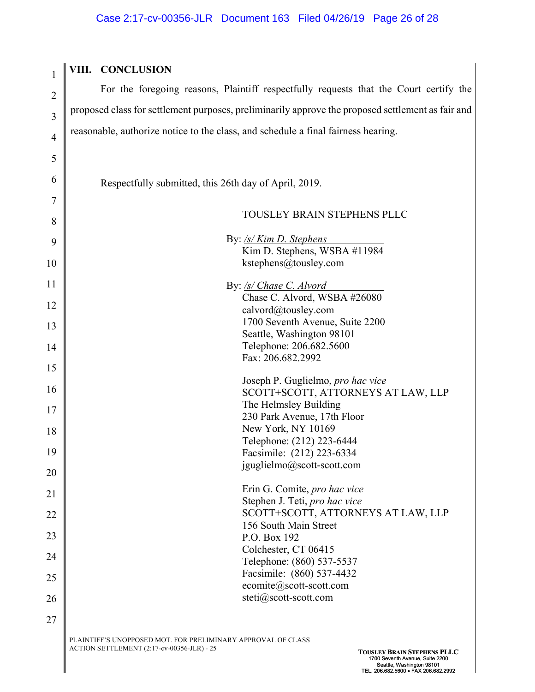| $\overline{2}$  |    |
|-----------------|----|
| 3               | p  |
| $\overline{4}$  | r( |
| 5               |    |
| 6               |    |
| $\overline{7}$  |    |
| 8               |    |
| 9               |    |
| 10              |    |
| 11              |    |
| 12              |    |
| 13              |    |
| $\overline{14}$ |    |
| 15              |    |
| 16              |    |
| 17              |    |
| 18              |    |
| 19              |    |
| 20              |    |
| 21              |    |
| 22              |    |
| 23              |    |
| 24              |    |
| 25              |    |
| 26              |    |
| 27              |    |

1

# **VIII. CONCLUSION**

For the foregoing reasons, Plaintiff respectfully requests that the Court certify the proposed class for settlement purposes, preliminarily approve the proposed settlement as fair and easonable, authorize notice to the class, and schedule a final fairness hearing.

Respectfully submitted, this 26th day of April, 2019.

#### TOUSLEY BRAIN STEPHENS PLLC

| 9                | By: /s/ Kim D. Stephens                                |
|------------------|--------------------------------------------------------|
|                  | Kim D. Stephens, WSBA #11984                           |
| $\boldsymbol{0}$ | kstephens@tousley.com                                  |
| $\mathbf 1$      | By: /s/ Chase C. Alvord                                |
| $\overline{2}$   | Chase C. Alvord, WSBA #26080                           |
|                  | calvord@tousley.com<br>1700 Seventh Avenue, Suite 2200 |
| 3                | Seattle, Washington 98101                              |
| 4                | Telephone: 206.682.5600                                |
|                  | Fax: 206.682.2992                                      |
| 5                |                                                        |
|                  | Joseph P. Guglielmo, pro hac vice                      |
| 6                | SCOTT+SCOTT, ATTORNEYS AT LAW, LLP                     |
| 7                | The Helmsley Building                                  |
|                  | 230 Park Avenue, 17th Floor                            |
| 8                | New York, NY 10169                                     |
|                  | Telephone: (212) 223-6444                              |
| 9                | Facsimile: (212) 223-6334                              |
| $\overline{0}$   | jguglielmo@scott-scott.com                             |
| $^{21}$          | Erin G. Comite, pro hac vice                           |
|                  | Stephen J. Teti, pro hac vice                          |
| $2^{\circ}$      | SCOTT+SCOTT, ATTORNEYS AT LAW, LLP                     |
|                  | 156 South Main Street                                  |
| $\frac{1}{3}$    | P.O. Box 192                                           |
| $\frac{1}{4}$    | Colchester, CT 06415                                   |
|                  | Telephone: (860) 537-5537                              |
| :5               | Facsimile: (860) 537-4432                              |
|                  | ecomite@scott-scott.com                                |
| 26               | steti@scott-scott.com                                  |
| :7               |                                                        |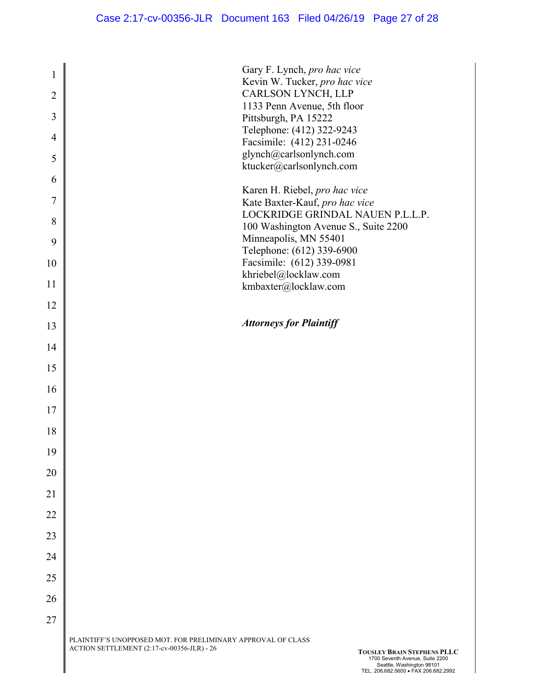| $\mathbf{1}$<br>$\overline{2}$<br>3<br>$\overline{4}$<br>5<br>6<br>7<br>8<br>9<br>10<br>11<br>12<br>13<br>14<br>15<br>16<br>17<br>18<br>19 | Gary F. Lynch, pro hac vice<br>Kevin W. Tucker, pro hac vice<br>CARLSON LYNCH, LLP<br>1133 Penn Avenue, 5th floor<br>Pittsburgh, PA 15222<br>Telephone: (412) 322-9243<br>Facsimile: (412) 231-0246<br>glynch@carlsonlynch.com<br>ktucker@carlsonlynch.com<br>Karen H. Riebel, pro hac vice<br>Kate Baxter-Kauf, pro hac vice<br>LOCKRIDGE GRINDAL NAUEN P.L.L.P.<br>100 Washington Avenue S., Suite 2200<br>Minneapolis, MN 55401<br>Telephone: (612) 339-6900<br>Facsimile: (612) 339-0981<br>khriebel@locklaw.com<br>kmbaxter@locklaw.com<br><b>Attorneys for Plaintiff</b> |
|--------------------------------------------------------------------------------------------------------------------------------------------|--------------------------------------------------------------------------------------------------------------------------------------------------------------------------------------------------------------------------------------------------------------------------------------------------------------------------------------------------------------------------------------------------------------------------------------------------------------------------------------------------------------------------------------------------------------------------------|
|                                                                                                                                            |                                                                                                                                                                                                                                                                                                                                                                                                                                                                                                                                                                                |
|                                                                                                                                            |                                                                                                                                                                                                                                                                                                                                                                                                                                                                                                                                                                                |
|                                                                                                                                            |                                                                                                                                                                                                                                                                                                                                                                                                                                                                                                                                                                                |
|                                                                                                                                            |                                                                                                                                                                                                                                                                                                                                                                                                                                                                                                                                                                                |
|                                                                                                                                            |                                                                                                                                                                                                                                                                                                                                                                                                                                                                                                                                                                                |
|                                                                                                                                            |                                                                                                                                                                                                                                                                                                                                                                                                                                                                                                                                                                                |
|                                                                                                                                            |                                                                                                                                                                                                                                                                                                                                                                                                                                                                                                                                                                                |
|                                                                                                                                            |                                                                                                                                                                                                                                                                                                                                                                                                                                                                                                                                                                                |
|                                                                                                                                            |                                                                                                                                                                                                                                                                                                                                                                                                                                                                                                                                                                                |
| 20<br>21                                                                                                                                   |                                                                                                                                                                                                                                                                                                                                                                                                                                                                                                                                                                                |
| 22                                                                                                                                         |                                                                                                                                                                                                                                                                                                                                                                                                                                                                                                                                                                                |
| 23                                                                                                                                         |                                                                                                                                                                                                                                                                                                                                                                                                                                                                                                                                                                                |
| 24                                                                                                                                         |                                                                                                                                                                                                                                                                                                                                                                                                                                                                                                                                                                                |
| 25                                                                                                                                         |                                                                                                                                                                                                                                                                                                                                                                                                                                                                                                                                                                                |
| 26                                                                                                                                         |                                                                                                                                                                                                                                                                                                                                                                                                                                                                                                                                                                                |
| 27                                                                                                                                         |                                                                                                                                                                                                                                                                                                                                                                                                                                                                                                                                                                                |
|                                                                                                                                            | PLAINTIFF'S UNOPPOSED MOT. FOR PRELIMINARY APPROVAL OF CLASS<br>ACTION SETTLEMENT (2:17-cv-00356-JLR) - 26<br><b>TOUSLEY BRAIN STEPHENS PLLC</b><br>1700 Seventh Avenue, Suite 2200<br>Seattle, Washington 98101<br>TEL. 206.682.5600 · FAX 206.682.2992                                                                                                                                                                                                                                                                                                                       |